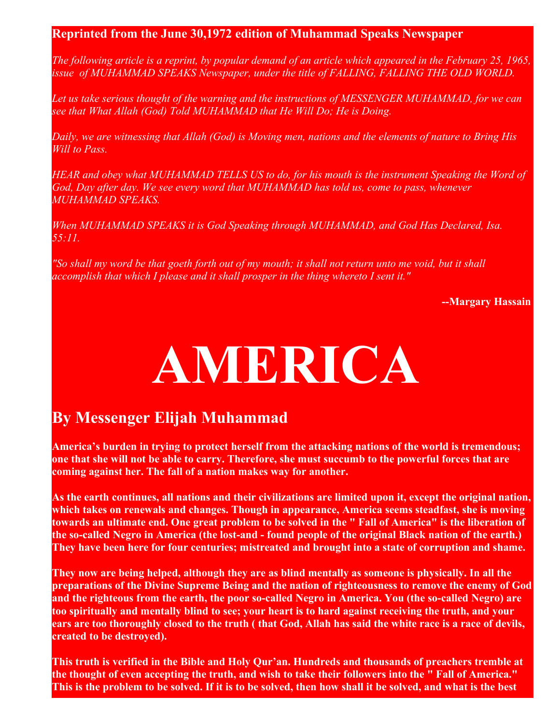## **Reprinted from the June 30,1972 edition of Muhammad Speaks Newspaper**

*The following article is a reprint, by popular demand of an article which appeared in the February 25, 1965, issue of MUHAMMAD SPEAKS Newspaper, under the title of FALLING, FALLING THE OLD WORLD.*

*Let us take serious thought of the warning and the instructions of MESSENGER MUHAMMAD, for we can see that What Allah (God) Told MUHAMMAD that He Will Do; He is Doing.*

*Daily, we are witnessing that Allah (God) is Moving men, nations and the elements of nature to Bring His Will to Pass.*

*HEAR and obey what MUHAMMAD TELLS US to do, for his mouth is the instrument Speaking the Word of God, Day after day. We see every word that MUHAMMAD has told us, come to pass, whenever MUHAMMAD SPEAKS.*

*When MUHAMMAD SPEAKS it is God Speaking through MUHAMMAD, and God Has Declared, Isa. 55:11.*

*"So shall my word be that goeth forth out of my mouth; it shall not return unto me void, but it shall accomplish that which I please and it shall prosper in the thing whereto I sent it."*

**--Margary Hassain**

## **AMERICA**

## **By Messenger Elijah Muhammad**

**America's burden in trying to protect herself from the attacking nations of the world is tremendous; one that she will not be able to carry. Therefore, she must succumb to the powerful forces that are coming against her. The fall of a nation makes way for another.** 

**As the earth continues, all nations and their civilizations are limited upon it, except the original nation, which takes on renewals and changes. Though in appearance, America seems steadfast, she is moving towards an ultimate end. One great problem to be solved in the " Fall of America" is the liberation of the so-called Negro in America (the lost-and - found people of the original Black nation of the earth.) They have been here for four centuries; mistreated and brought into a state of corruption and shame.** 

**They now are being helped, although they are as blind mentally as someone is physically. In all the preparations of the Divine Supreme Being and the nation of righteousness to remove the enemy of God and the righteous from the earth, the poor so-called Negro in America. You (the so-called Negro) are too spiritually and mentally blind to see; your heart is to hard against receiving the truth, and your ears are too thoroughly closed to the truth ( that God, Allah has said the white race is a race of devils, created to be destroyed).**

**This truth is verified in the Bible and Holy Qur'an. Hundreds and thousands of preachers tremble at the thought of even accepting the truth, and wish to take their followers into the " Fall of America." This is the problem to be solved. If it is to be solved, then how shall it be solved, and what is the best**